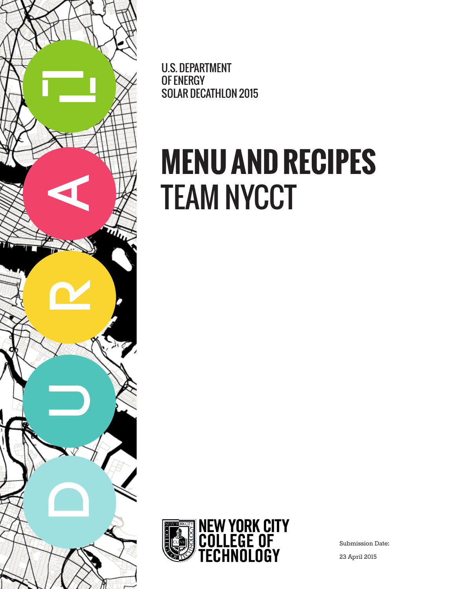

U.S. DEPARTMENT OF ENERGY SOLAR DECATHLON 2015

# **MENU AND RECIPES** TEAM NYCCT



Submission Date:

23 April 2015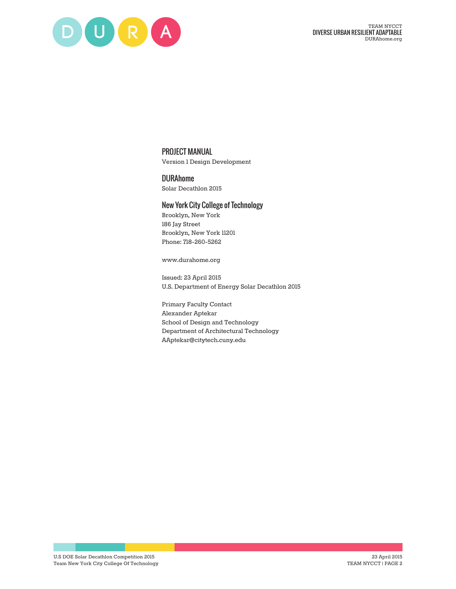

### PROJECT MANUAL

Version 1 Design Development

DURAhome Solar Decathlon 2015

### New York City College of Technology

Brooklyn, New York 186 Jay Street Brooklyn, New York 11201 Phone: 718-260-5262

www.durahome.org

Issued: 23 April 2015 U.S. Department of Energy Solar Decathlon 2015

Primary Faculty Contact Alexander Aptekar School of Design and Technology Department of Architectural Technology AAptekar@citytech.cuny.edu

U.S DOE Solar Decathlon Competition 2015 Team New York City College Of Technology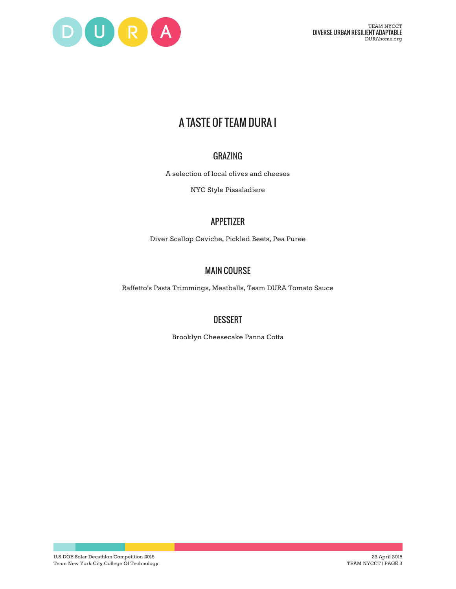

# A TASTE OF TEAM DURA I

### GRAZING

A selection of local olives and cheeses

NYC Style Pissaladiere

# APPETIZER

Diver Scallop Ceviche, Pickled Beets, Pea Puree

# MAIN COURSE

Raffetto's Pasta Trimmings, Meatballs, Team DURA Tomato Sauce

### **DESSERT**

Brooklyn Cheesecake Panna Cotta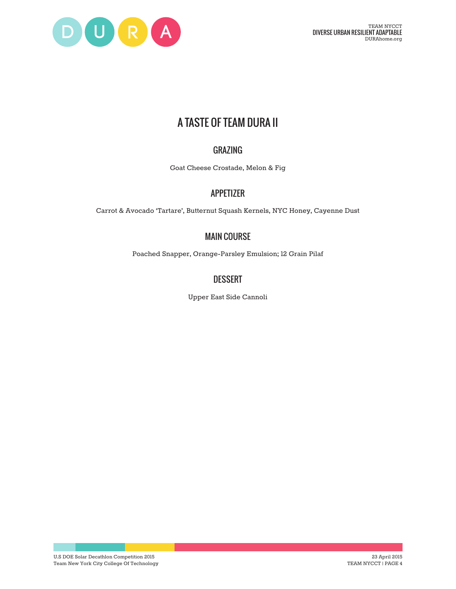

# A TASTE OF TEAM DURA II

# GRAZING

Goat Cheese Crostade, Melon & Fig

### APPETIZER

Carrot & Avocado 'Tartare', Butternut Squash Kernels, NYC Honey, Cayenne Dust

# MAIN COURSE

Poached Snapper, Orange-Parsley Emulsion; 12 Grain Pilaf

### DESSERT

Upper East Side Cannoli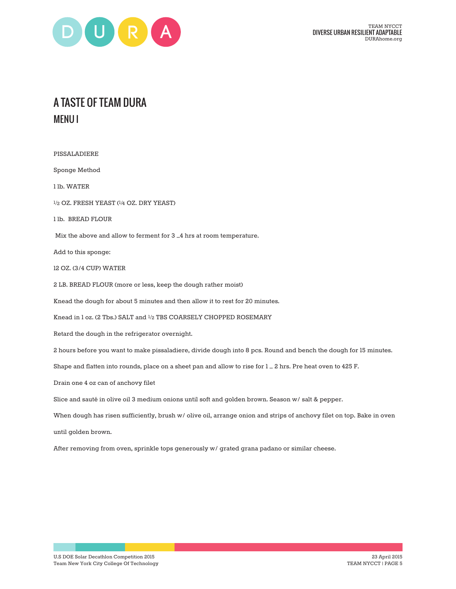

# A TASTE OF TEAM DURA MENU I

PISSALADIERE Sponge Method 1 lb. WATER ½ OZ. FRESH YEAST (¼ OZ. DRY YEAST) 1 lb. BREAD FLOUR Mix the above and allow to ferment for 3 –4 hrs at room temperature. Add to this sponge: 12 OZ. (3/4 CUP) WATER 2 LB. BREAD FLOUR (more or less, keep the dough rather moist) Knead the dough for about 5 minutes and then allow it to rest for 20 minutes. Knead in 1 oz. (2 Tbs.) SALT and ½ TBS COARSELY CHOPPED ROSEMARY Retard the dough in the refrigerator overnight. 2 hours before you want to make pissaladiere, divide dough into 8 pcs. Round and bench the dough for 15 minutes. Shape and flatten into rounds, place on a sheet pan and allow to rise for  $l = 2$  hrs. Pre heat oven to 425 F. Drain one 4 oz can of anchovy filet Slice and sauté in olive oil 3 medium onions until soft and golden brown. Season w/ salt & pepper. When dough has risen sufficiently, brush w/ olive oil, arrange onion and strips of anchovy filet on top. Bake in oven until golden brown. After removing from oven, sprinkle tops generously w/ grated grana padano or similar cheese.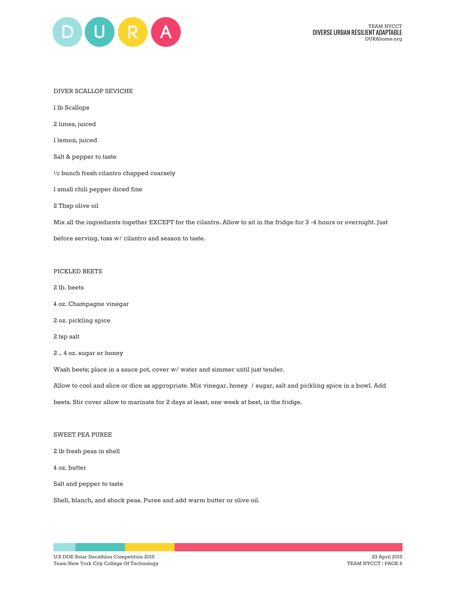

#### DIVER SCALLOP SEVICHE

1 lb Scallops

2 limes, juiced

1 lemon, juiced

Salt & pepper to taste

½ bunch fresh cilantro chapped coarsely

1 small chili pepper diced fine

2 Tbsp olive oil

Mix all the ingredients together EXCEPT for the cilantro. Allow to sit in the fridge for 3 -4 hours or overnight. Just

before serving, toss w/ cilantro and season to taste.

#### PICKLED BEETS

2 lb. beets

- 4 oz. Champagne vinegar
- 2 oz. pickling spice

2 tsp salt

2 – 4 oz. sugar or honey

Wash beets; place in a sauce pot, cover w/ water and simmer until just tender.

Allow to cool and slice or dice as appropriate. Mix vinegar, honey / sugar, salt and pickling spice in a bowl. Add

beets. Stir cover allow to marinate for 2 days at least, one week at best, in the fridge.

### SWEET PEA PUREE

2 lb fresh peas in shell

4 oz. butter

Salt and pepper to taste

Shell, blanch, and shock peas. Puree and add warm butter or olive oil.

U.S DOE Solar Decathlon Competition 2015 Team New York City College Of Technology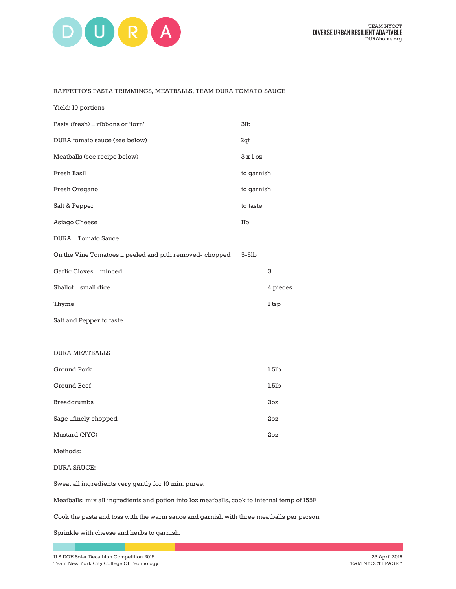

#### RAFFETTO'S PASTA TRIMMINGS, MEATBALLS, TEAM DURA TOMATO SAUCE

| Yield: 10 portions                                     |              |             |
|--------------------------------------------------------|--------------|-------------|
| Pasta (fresh) _ ribbons or 'torn'                      | 3lb          |             |
| DURA tomato sauce (see below)                          | 2qt          |             |
| Meatballs (see recipe below)                           | $3x$ loz     |             |
| Fresh Basil                                            | to garnish   |             |
| Fresh Oregano                                          | to garnish   |             |
| Salt & Pepper                                          | to taste     |             |
| Asiago Cheese                                          | $_{\rm llb}$ |             |
| DURA _ Tomato Sauce                                    |              |             |
| On the Vine Tomatoes _ peeled and pith removed-chopped | $5-6$ lb     |             |
| Garlic Cloves _ minced                                 |              | 3           |
| Shallot _ small dice                                   |              | 4 pieces    |
| Thyme                                                  |              | 1 tsp       |
| Salt and Pepper to taste                               |              |             |
|                                                        |              |             |
| <b>DURA MEATBALLS</b>                                  |              |             |
| Ground Pork                                            |              | $1.5$ l $b$ |
| <b>Ground Beef</b>                                     |              | $1.5$ l $b$ |
| <b>Breadcrumbs</b>                                     |              | 3oz         |
| Sage_finely chopped                                    |              | 2oz         |
| Mustard (NYC)                                          |              | 2oz         |
| Methods:                                               |              |             |
| <b>DURA SAUCE:</b>                                     |              |             |

Meatballs: mix all ingredients and potion into 1oz meatballs, cook to internal temp of 155F

Cook the pasta and toss with the warm sauce and garnish with three meatballs per person

Sprinkle with cheese and herbs to garnish.

Sweat all ingredients very gently for 10 min. puree.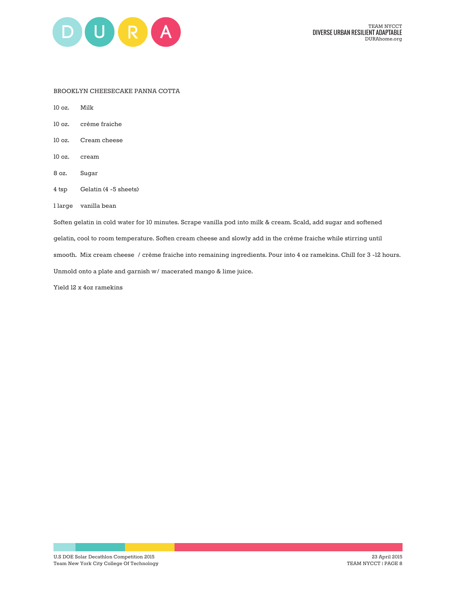

### BROOKLYN CHEESECAKE PANNA COTTA

10 oz. Milk

- 10 oz. crème fraiche
- 10 oz. Cream cheese
- 10 oz. cream
- 8 oz. Sugar
- 4 tsp Gelatin (4 -5 sheets)
- 1 large vanilla bean

Soften gelatin in cold water for 10 minutes. Scrape vanilla pod into milk & cream. Scald, add sugar and softened gelatin, cool to room temperature. Soften cream cheese and slowly add in the crème fraiche while stirring until smooth. Mix cream cheese / crème fraiche into remaining ingredients. Pour into 4 oz ramekins. Chill for 3 -12 hours. Unmold onto a plate and garnish w/ macerated mango & lime juice.

Yield 12 x 4oz ramekins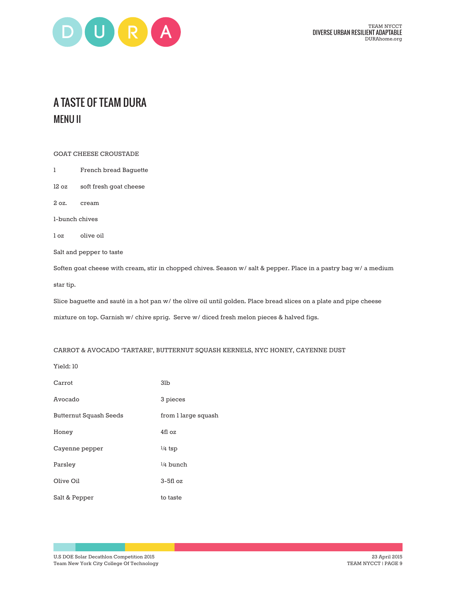

# A TASTE OF TEAM DURA MENU II

GOAT CHEESE CROUSTADE

- 1 French bread Baguette
- 12 oz soft fresh goat cheese

2 oz. cream

1-bunch chives

1 oz olive oil

Salt and pepper to taste

Soften goat cheese with cream, stir in chopped chives. Season w/ salt & pepper. Place in a pastry bag w/ a medium star tip.

Slice baguette and sauté in a hot pan w/ the olive oil until golden. Place bread slices on a plate and pipe cheese mixture on top. Garnish w/ chive sprig. Serve w/ diced fresh melon pieces & halved figs.

### CARROT & AVOCADO 'TARTARE', BUTTERNUT SQUASH KERNELS, NYC HONEY, CAYENNE DUST

Yield: 10

| Carrot                 | 3 <sub>lb</sub>     |
|------------------------|---------------------|
| Avocado                | 3 pieces            |
| Butternut Squash Seeds | from 1 large squash |
| Honey                  | 4fl oz              |
| Cayenne pepper         | $\frac{1}{4}$ tsp   |
| Parsley                | $1/4$ bunch         |
| Olive Oil              | $3-5f1$ oz          |
| Salt & Pepper          | to taste            |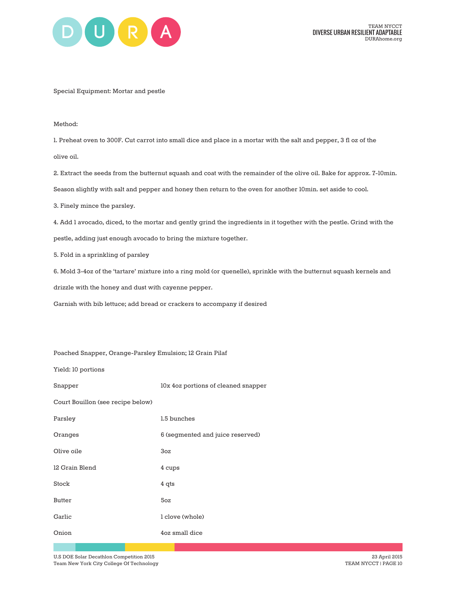

Special Equipment: Mortar and pestle

Method:

1. Preheat oven to 300F. Cut carrot into small dice and place in a mortar with the salt and pepper, 3 fl oz of the olive oil.

2. Extract the seeds from the butternut squash and coat with the remainder of the olive oil. Bake for approx. 7-10min.

Season slightly with salt and pepper and honey then return to the oven for another 10min. set aside to cool.

3. Finely mince the parsley.

4. Add 1 avocado, diced, to the mortar and gently grind the ingredients in it together with the pestle. Grind with the

pestle, adding just enough avocado to bring the mixture together.

5. Fold in a sprinkling of parsley

6. Mold 3-4oz of the 'tartare' mixture into a ring mold (or quenelle), sprinkle with the butternut squash kernels and

drizzle with the honey and dust with cayenne pepper.

Garnish with bib lettuce; add bread or crackers to accompany if desired

Poached Snapper, Orange-Parsley Emulsion; 12 Grain Pilaf

Yield: 10 portions

Snapper 10x 4oz portions of cleaned snapper

Court Bouillon (see recipe below)

| Parsley        | 1.5 bunches                      |
|----------------|----------------------------------|
| Oranges        | 6 (segmented and juice reserved) |
| Olive oile     | 3oz                              |
| 12 Grain Blend | 4 cups                           |
| Stock          | $4$ qts                          |
| Butter         | 5oz                              |
| Garlic         | l clove (whole)                  |
| Onion          | 4oz small dice                   |
|                |                                  |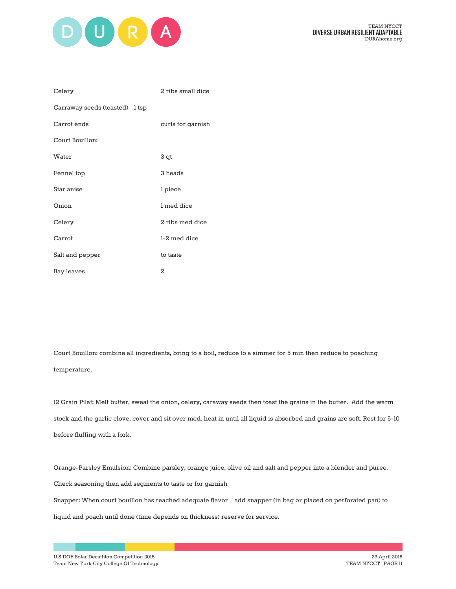

| Celery                         | 2 ribs small dice |
|--------------------------------|-------------------|
| Carraway seeds (toasted) 1 tsp |                   |
| Carrot ends                    | curls for garnish |
| Court Bouillon:                |                   |
| Water                          | 3 qt              |
| Fennel top                     | 3 heads           |
| Star anise                     | l piece           |
| Onion                          | 1 med dice        |
| Celery                         | 2 ribs med dice   |
| Carrot                         | 1-2 med dice      |
| Salt and pepper                | to taste          |
| Bay leaves                     | 2                 |

Court Bouillon: combine all ingredients, bring to a boil, reduce to a simmer for 5 min then reduce to poaching temperature.

12 Grain Pilaf: Melt butter, sweat the onion, celery, caraway seeds then toast the grains in the butter. Add the warm stock and the garlic clove, cover and sit over med. heat in until all liquid is absorbed and grains are soft. Rest for 5-10 before fluffing with a fork.

Orange-Parsley Emulsion: Combine parsley, orange juice, olive oil and salt and pepper into a blender and puree. Check seasoning then add segments to taste or for garnish

Snapper: When court bouillon has reached adequate flavor – add snapper (in bag or placed on perforated pan) to

liquid and poach until done (time depends on thickness) reserve for service.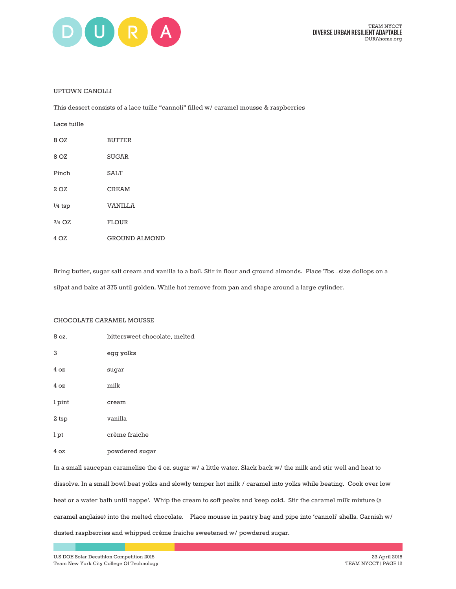

#### UPTOWN CANOLLI

This dessert consists of a lace tuille "cannoli" filled w/ caramel mousse & raspberries

| Lace tuille |                      |
|-------------|----------------------|
| 8 OZ        | <b>BUTTER</b>        |
| 8 OZ        | <b>SUGAR</b>         |
| Pinch       | <b>SALT</b>          |
| 2 OZ        | <b>CREAM</b>         |
| $1/4$ tsp   | <b>VANILLA</b>       |
| 3/4 OZ      | <b>FLOUR</b>         |
| 4 OZ        | <b>GROUND ALMOND</b> |

Bring butter, sugar salt cream and vanilla to a boil. Stir in flour and ground almonds. Place Tbs –size dollops on a silpat and bake at 375 until golden. While hot remove from pan and shape around a large cylinder.

#### CHOCOLATE CARAMEL MOUSSE

| 8 oz.  | bittersweet chocolate, melted |
|--------|-------------------------------|
| 3      | egg yolks                     |
| 4oz    | sugar                         |
| 4oz    | milk                          |
| 1 pint | cream                         |
| 2 tsp  | vanilla                       |
| 1 pt   | crème fraiche                 |
| 4oz    | powdered sugar                |
|        |                               |

In a small saucepan caramelize the 4 oz. sugar w/ a little water. Slack back w/ the milk and stir well and heat to dissolve. In a small bowl beat yolks and slowly temper hot milk / caramel into yolks while beating. Cook over low heat or a water bath until nappe'. Whip the cream to soft peaks and keep cold. Stir the caramel milk mixture (a caramel anglaise) into the melted chocolate. Place mousse in pastry bag and pipe into 'cannoli' shells. Garnish w/ dusted raspberries and whipped crème fraiche sweetened w/ powdered sugar.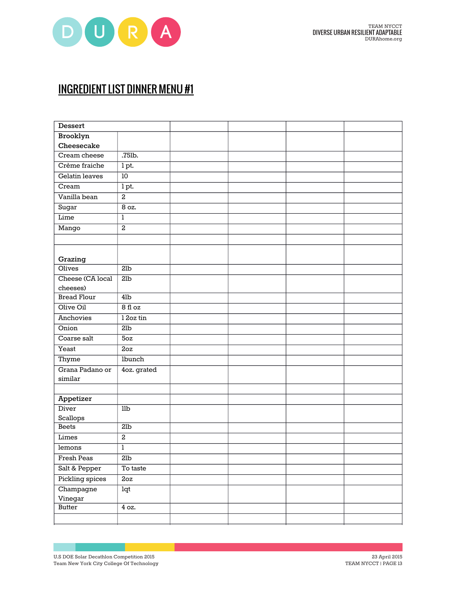

# INGREDIENT LIST DINNER MENU #1

| <b>Dessert</b>     |                         |  |  |
|--------------------|-------------------------|--|--|
| Brooklyn           |                         |  |  |
| Cheesecake         |                         |  |  |
| Cream cheese       | $.75$ lb.               |  |  |
| Crème fraiche      | 1 pt.                   |  |  |
| Gelatin leaves     | 10                      |  |  |
| Cream              | 1pt.                    |  |  |
| Vanilla bean       | $\overline{2}$          |  |  |
| Sugar              | 8 oz.                   |  |  |
| Lime               | 1                       |  |  |
| Mango              | $\overline{2}$          |  |  |
|                    |                         |  |  |
|                    |                         |  |  |
| Grazing            |                         |  |  |
| <b>Olives</b>      | 2lb                     |  |  |
| Cheese (CA local   | 2lb                     |  |  |
| cheeses)           |                         |  |  |
| <b>Bread Flour</b> | 4 <sub>1</sub> b        |  |  |
| Olive Oil          | $8f$ l oz               |  |  |
| Anchovies          | 12oz tin                |  |  |
| Onion              | 2lb                     |  |  |
| Coarse salt        | 50z                     |  |  |
| Yeast              | 2oz                     |  |  |
| Thyme              | <b>lbunch</b>           |  |  |
| Grana Padano or    | 4oz. grated             |  |  |
| similar            |                         |  |  |
|                    |                         |  |  |
| Appetizer          |                         |  |  |
| <b>Diver</b>       | $\overline{\text{lib}}$ |  |  |
| Scallops           |                         |  |  |
| <b>Beets</b>       | 2lb                     |  |  |
| Limes              | $\overline{2}$          |  |  |
| lemons             | 1                       |  |  |
| <b>Fresh Peas</b>  | 2lb                     |  |  |
| Salt & Pepper      | To taste                |  |  |
| Pickling spices    | 2oz                     |  |  |
| Champagne          | lqt                     |  |  |
| Vinegar            |                         |  |  |
| <b>Butter</b>      | $\overline{4}$ oz.      |  |  |
|                    |                         |  |  |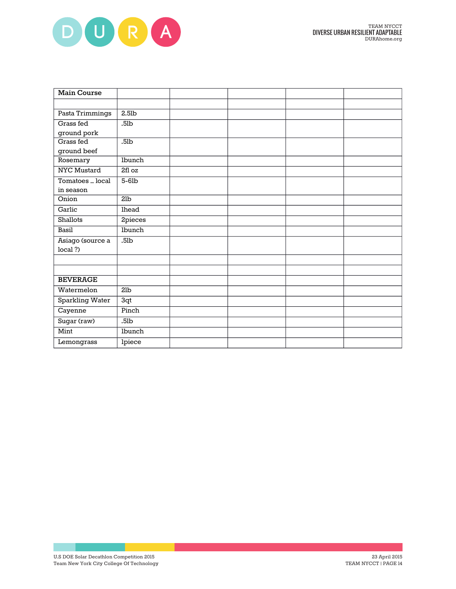

| <b>Main Course</b> |                  |  |  |
|--------------------|------------------|--|--|
|                    |                  |  |  |
| Pasta Trimmings    | $2.5$ lb         |  |  |
| Grass fed          | .5 <sub>lb</sub> |  |  |
| ground pork        |                  |  |  |
| Grass fed          | .5 <sub>lb</sub> |  |  |
| ground beef        |                  |  |  |
| Rosemary           | lbunch           |  |  |
| <b>NYC Mustard</b> | 2fl oz           |  |  |
| Tomatoes _ local   | $5-6$ lb         |  |  |
| in season          |                  |  |  |
| Onion              | 21 <sub>b</sub>  |  |  |
| Garlic             | lhead            |  |  |
| Shallots           | 2pieces          |  |  |
| Basil              | lbunch           |  |  |
| Asiago (source a   | .5 <sub>lb</sub> |  |  |
| local ?)           |                  |  |  |
|                    |                  |  |  |
|                    |                  |  |  |
| <b>BEVERAGE</b>    |                  |  |  |
| Watermelon         | 21 <sub>b</sub>  |  |  |
| Sparkling Water    | 3qt              |  |  |
| Cayenne            | Pinch            |  |  |
| Sugar (raw)        | .5 <sub>lb</sub> |  |  |
| Mint               | lbunch           |  |  |
| Lemongrass         | lpiece           |  |  |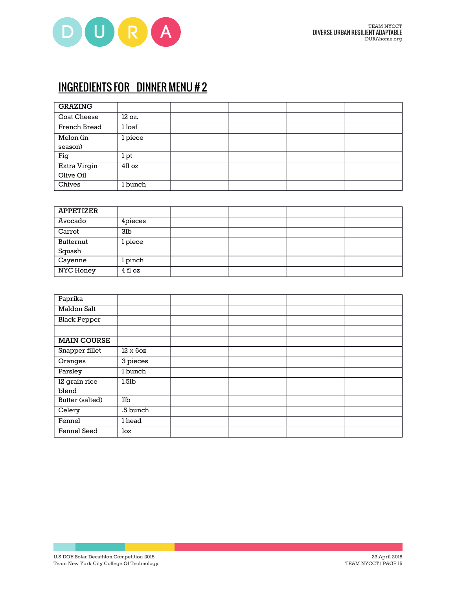

# INGREDIENTS FOR DINNER MENU # 2

| <b>GRAZING</b>     |         |  |  |
|--------------------|---------|--|--|
| <b>Goat Cheese</b> | 12 oz.  |  |  |
| French Bread       | l loaf  |  |  |
| Melon (in          | l piece |  |  |
| season)            |         |  |  |
| Fig                | 1 pt    |  |  |
| Extra Virgin       | 4fl oz  |  |  |
| Olive Oil          |         |  |  |
| Chives             | l bunch |  |  |

| <b>APPETIZER</b> |                 |  |  |
|------------------|-----------------|--|--|
| Avocado          | 4pieces         |  |  |
| Carrot           | 3 <sub>lb</sub> |  |  |
| Butternut        | l piece         |  |  |
| Squash           |                 |  |  |
| Cayenne          | l pinch         |  |  |
| NYC Honey        | 4 fl oz         |  |  |

| Paprika             |          |  |  |
|---------------------|----------|--|--|
| Maldon Salt         |          |  |  |
| <b>Black Pepper</b> |          |  |  |
|                     |          |  |  |
| <b>MAIN COURSE</b>  |          |  |  |
| Snapper fillet      | 12 x 60z |  |  |
| Oranges             | 3 pieces |  |  |
| Parsley             | l bunch  |  |  |
| 12 grain rice       | 1.51b    |  |  |
| blend               |          |  |  |
| Butter (salted)     | llb      |  |  |
| Celery              | .5 bunch |  |  |
| Fennel              | 1 head   |  |  |
| Fennel Seed         | loz      |  |  |